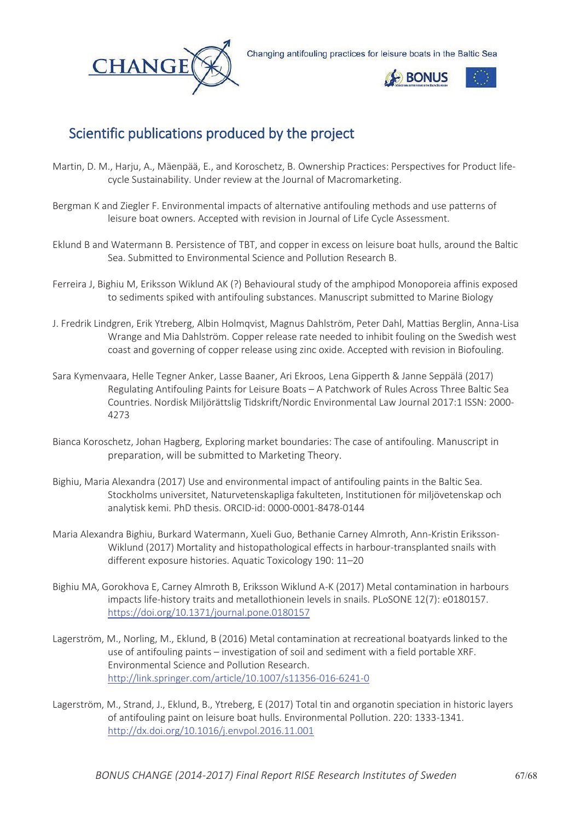

Changing antifouling practices for leisure boats in the Baltic Sea



## Scientific publications produced by the project

- Martin, D. M., Harju, A., Mäenpää, E., and Koroschetz, B. Ownership Practices: Perspectives for Product lifecycle Sustainability. Under review at the Journal of Macromarketing.
- Bergman K and Ziegler F. Environmental impacts of alternative antifouling methods and use patterns of leisure boat owners. Accepted with revision in Journal of Life Cycle Assessment.
- Eklund B and Watermann B. Persistence of TBT, and copper in excess on leisure boat hulls, around the Baltic Sea. Submitted to Environmental Science and Pollution Research B.
- Ferreira J, Bighiu M, Eriksson Wiklund AK (?) Behavioural study of the amphipod Monoporeia affinis exposed to sediments spiked with antifouling substances. Manuscript submitted to Marine Biology
- J. Fredrik Lindgren, Erik Ytreberg, Albin Holmqvist, Magnus Dahlström, Peter Dahl, Mattias Berglin, Anna-Lisa Wrange and Mia Dahlström. Copper release rate needed to inhibit fouling on the Swedish west coast and governing of copper release using zinc oxide. Accepted with revision in Biofouling.
- Sara Kymenvaara, Helle Tegner Anker, Lasse Baaner, Ari Ekroos, Lena Gipperth & Janne Seppälä (2017) Regulating Antifouling Paints for Leisure Boats – A Patchwork of Rules Across Three Baltic Sea Countries. Nordisk Miljörättslig Tidskrift/Nordic Environmental Law Journal 2017:1 ISSN: 2000- 4273
- Bianca Koroschetz, Johan Hagberg, Exploring market boundaries: The case of antifouling. Manuscript in preparation, will be submitted to Marketing Theory.
- Bighiu, Maria Alexandra (2017) Use and environmental impact of antifouling paints in the Baltic Sea. Stockholms universitet, Naturvetenskapliga fakulteten, Institutionen för miljövetenskap och analytisk kemi. PhD thesis. ORCID-id: 0000-0001-8478-0144
- Maria Alexandra Bighiu, Burkard Watermann, Xueli Guo, Bethanie Carney Almroth, Ann-Kristin Eriksson-Wiklund (2017) Mortality and histopathological effects in harbour-transplanted snails with different exposure histories. Aquatic Toxicology 190: 11–20
- Bighiu MA, Gorokhova E, Carney Almroth B, Eriksson Wiklund A-K (2017) Metal contamination in harbours impacts life-history traits and metallothionein levels in snails. PLoSONE 12(7): e0180157. https://doi.org/10.1371/journal.pone.0180157
- Lagerström, M., Norling, M., Eklund, B (2016) Metal contamination at recreational boatyards linked to the use of antifouling paints – investigation of soil and sediment with a field portable XRF. Environmental Science and Pollution Research. http://link.springer.com/article/10.1007/s11356-016-6241-0
- Lagerström, M., Strand, J., Eklund, B., Ytreberg, E (2017) Total tin and organotin speciation in historic layers of antifouling paint on leisure boat hulls. Environmental Pollution. 220: 1333-1341. http://dx.doi.org/10.1016/j.envpol.2016.11.001